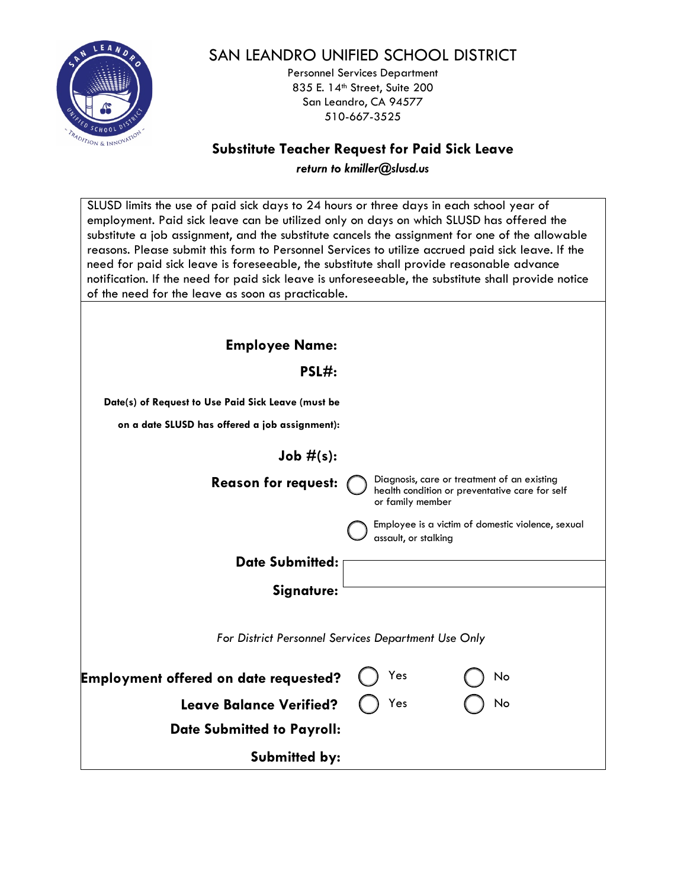

## SAN LEANDRO UNIFIED SCHOOL DISTRICT

Personnel Services Department 835 E. 14<sup>th</sup> Street, Suite 200 San Leandro, CA 94577 510-667-3525

### **Substitute Teacher Request for Paid Sick Leave**

*return to kmiller@slusd.us*

| SLUSD limits the use of paid sick days to 24 hours or three days in each school year of<br>employment. Paid sick leave can be utilized only on days on which SLUSD has offered the<br>substitute a job assignment, and the substitute cancels the assignment for one of the allowable<br>reasons. Please submit this form to Personnel Services to utilize accrued paid sick leave. If the<br>need for paid sick leave is foreseeable, the substitute shall provide reasonable advance<br>notification. If the need for paid sick leave is unforeseeable, the substitute shall provide notice<br>of the need for the leave as soon as practicable. |  |
|----------------------------------------------------------------------------------------------------------------------------------------------------------------------------------------------------------------------------------------------------------------------------------------------------------------------------------------------------------------------------------------------------------------------------------------------------------------------------------------------------------------------------------------------------------------------------------------------------------------------------------------------------|--|
|                                                                                                                                                                                                                                                                                                                                                                                                                                                                                                                                                                                                                                                    |  |
| <b>Employee Name:</b>                                                                                                                                                                                                                                                                                                                                                                                                                                                                                                                                                                                                                              |  |
| PSL#:                                                                                                                                                                                                                                                                                                                                                                                                                                                                                                                                                                                                                                              |  |
| Date(s) of Request to Use Paid Sick Leave (must be                                                                                                                                                                                                                                                                                                                                                                                                                                                                                                                                                                                                 |  |
| on a date SLUSD has offered a job assignment):                                                                                                                                                                                                                                                                                                                                                                                                                                                                                                                                                                                                     |  |
| Job $#(s)$ :                                                                                                                                                                                                                                                                                                                                                                                                                                                                                                                                                                                                                                       |  |
|                                                                                                                                                                                                                                                                                                                                                                                                                                                                                                                                                                                                                                                    |  |
| Diagnosis, care or treatment of an existing<br><b>Reason for request:</b><br>health condition or preventative care for self<br>or family member                                                                                                                                                                                                                                                                                                                                                                                                                                                                                                    |  |
| Employee is a victim of domestic violence, sexual                                                                                                                                                                                                                                                                                                                                                                                                                                                                                                                                                                                                  |  |
| assault, or stalking                                                                                                                                                                                                                                                                                                                                                                                                                                                                                                                                                                                                                               |  |
| <b>Date Submitted:</b>                                                                                                                                                                                                                                                                                                                                                                                                                                                                                                                                                                                                                             |  |
| Signature:                                                                                                                                                                                                                                                                                                                                                                                                                                                                                                                                                                                                                                         |  |
|                                                                                                                                                                                                                                                                                                                                                                                                                                                                                                                                                                                                                                                    |  |
| For District Personnel Services Department Use Only                                                                                                                                                                                                                                                                                                                                                                                                                                                                                                                                                                                                |  |
| Yes<br>Employment offered on date requested?<br>No                                                                                                                                                                                                                                                                                                                                                                                                                                                                                                                                                                                                 |  |
| Yes<br>No<br><b>Leave Balance Verified?</b>                                                                                                                                                                                                                                                                                                                                                                                                                                                                                                                                                                                                        |  |
| <b>Date Submitted to Payroll:</b>                                                                                                                                                                                                                                                                                                                                                                                                                                                                                                                                                                                                                  |  |
|                                                                                                                                                                                                                                                                                                                                                                                                                                                                                                                                                                                                                                                    |  |
| <b>Submitted by:</b>                                                                                                                                                                                                                                                                                                                                                                                                                                                                                                                                                                                                                               |  |